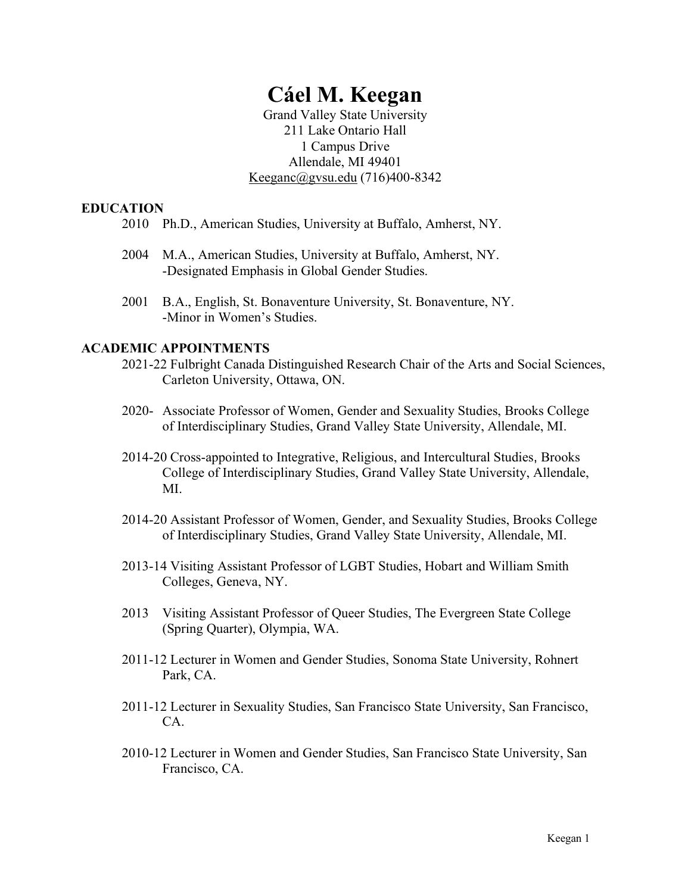# **Cáel M. Keegan**

Grand Valley State University 211 Lake Ontario Hall 1 Campus Drive Allendale, MI 49401 Keeganc@gvsu.edu (716)400-8342

## **EDUCATION**

- 2010 Ph.D., American Studies, University at Buffalo, Amherst, NY.
- 2004 M.A., American Studies, University at Buffalo, Amherst, NY. -Designated Emphasis in Global Gender Studies.
- 2001 B.A., English, St. Bonaventure University, St. Bonaventure, NY. -Minor in Women's Studies.

# **ACADEMIC APPOINTMENTS**

- 2021-22 Fulbright Canada Distinguished Research Chair of the Arts and Social Sciences, Carleton University, Ottawa, ON.
- 2020- Associate Professor of Women, Gender and Sexuality Studies, Brooks College of Interdisciplinary Studies, Grand Valley State University, Allendale, MI.
- 2014-20 Cross-appointed to Integrative, Religious, and Intercultural Studies, Brooks College of Interdisciplinary Studies, Grand Valley State University, Allendale, MI.
- 2014-20 Assistant Professor of Women, Gender, and Sexuality Studies, Brooks College of Interdisciplinary Studies, Grand Valley State University, Allendale, MI.
- 2013-14 Visiting Assistant Professor of LGBT Studies, Hobart and William Smith Colleges, Geneva, NY.
- 2013 Visiting Assistant Professor of Queer Studies, The Evergreen State College (Spring Quarter), Olympia, WA.
- 2011-12 Lecturer in Women and Gender Studies, Sonoma State University, Rohnert Park, CA.
- 2011-12 Lecturer in Sexuality Studies, San Francisco State University, San Francisco, CA.
- 2010-12 Lecturer in Women and Gender Studies, San Francisco State University, San Francisco, CA.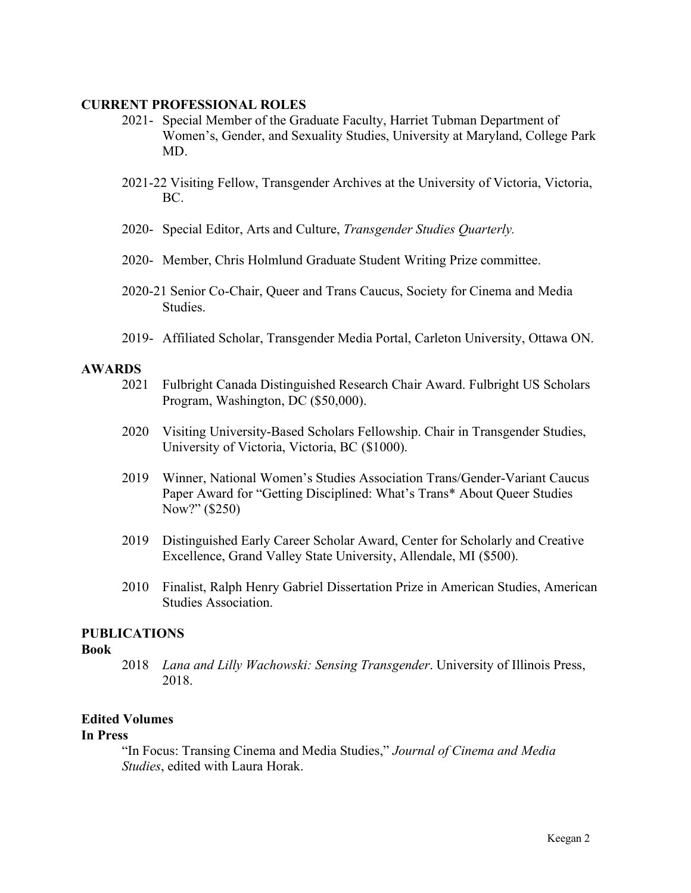## **CURRENT PROFESSIONAL ROLES**

- 2021- Special Member of the Graduate Faculty, Harriet Tubman Department of Women's, Gender, and Sexuality Studies, University at Maryland, College Park MD.
- 2021-22 Visiting Fellow, Transgender Archives at the University of Victoria, Victoria, BC.
- 2020- Special Editor, Arts and Culture, *Transgender Studies Quarterly.*
- 2020- Member, Chris Holmlund Graduate Student Writing Prize committee.
- 2020-21 Senior Co-Chair, Queer and Trans Caucus, Society for Cinema and Media Studies.
- 2019- Affiliated Scholar, Transgender Media Portal, Carleton University, Ottawa ON.

## **AWARDS**

- 2021 Fulbright Canada Distinguished Research Chair Award. Fulbright US Scholars Program, Washington, DC (\$50,000).
- 2020 Visiting University-Based Scholars Fellowship. Chair in Transgender Studies, University of Victoria, Victoria, BC (\$1000).
- 2019 Winner, National Women's Studies Association Trans/Gender-Variant Caucus Paper Award for "Getting Disciplined: What's Trans\* About Queer Studies Now?" (\$250)
- 2019 Distinguished Early Career Scholar Award, Center for Scholarly and Creative Excellence, Grand Valley State University, Allendale, MI (\$500).
- 2010 Finalist, Ralph Henry Gabriel Dissertation Prize in American Studies, American Studies Association.

# **PUBLICATIONS**

## **Book**

2018 *Lana and Lilly Wachowski: Sensing Transgender*. University of Illinois Press, 2018.

# **Edited Volumes**

## **In Press**

"In Focus: Transing Cinema and Media Studies," *Journal of Cinema and Media Studies*, edited with Laura Horak.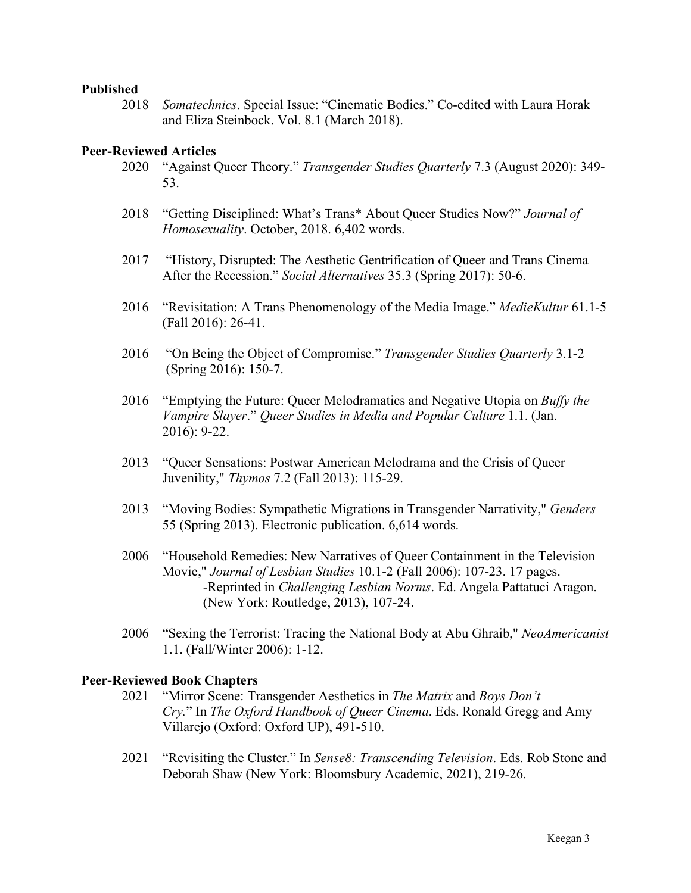## **Published**

2018 *Somatechnics*. Special Issue: "Cinematic Bodies." Co-edited with Laura Horak and Eliza Steinbock. Vol. 8.1 (March 2018).

## **Peer-Reviewed Articles**

- 2020 "Against Queer Theory." *Transgender Studies Quarterly* 7.3 (August 2020): 349- 53.
- 2018 "Getting Disciplined: What's Trans\* About Queer Studies Now?" *Journal of Homosexuality*. October, 2018. 6,402 words.
- 2017 "History, Disrupted: The Aesthetic Gentrification of Queer and Trans Cinema After the Recession." *Social Alternatives* 35.3 (Spring 2017): 50-6.
- 2016 "Revisitation: A Trans Phenomenology of the Media Image." *MedieKultur* 61.1-5 (Fall 2016): 26-41.
- 2016 "On Being the Object of Compromise." *Transgender Studies Quarterly* 3.1-2 (Spring 2016): 150-7.
- 2016 "Emptying the Future: Queer Melodramatics and Negative Utopia on *Buffy the Vampire Slayer*." *Queer Studies in Media and Popular Culture* 1.1. (Jan. 2016): 9-22.
- 2013 "Queer Sensations: Postwar American Melodrama and the Crisis of Queer Juvenility," *Thymos* 7.2 (Fall 2013): 115-29.
- 2013 "Moving Bodies: Sympathetic Migrations in Transgender Narrativity," *Genders* 55 (Spring 2013). Electronic publication. 6,614 words.
- 2006 "Household Remedies: New Narratives of Queer Containment in the Television Movie," *Journal of Lesbian Studies* 10.1-2 (Fall 2006): 107-23. 17 pages. -Reprinted in *Challenging Lesbian Norms*. Ed. Angela Pattatuci Aragon. (New York: Routledge, 2013), 107-24.
- 2006 "Sexing the Terrorist: Tracing the National Body at Abu Ghraib," *NeoAmericanist* 1.1. (Fall/Winter 2006): 1-12.

## **Peer-Reviewed Book Chapters**

- 2021 "Mirror Scene: Transgender Aesthetics in *The Matrix* and *Boys Don't Cry.*" In *The Oxford Handbook of Queer Cinema*. Eds. Ronald Gregg and Amy Villarejo (Oxford: Oxford UP), 491-510.
- 2021 "Revisiting the Cluster." In *Sense8: Transcending Television*. Eds. Rob Stone and Deborah Shaw (New York: Bloomsbury Academic, 2021), 219-26.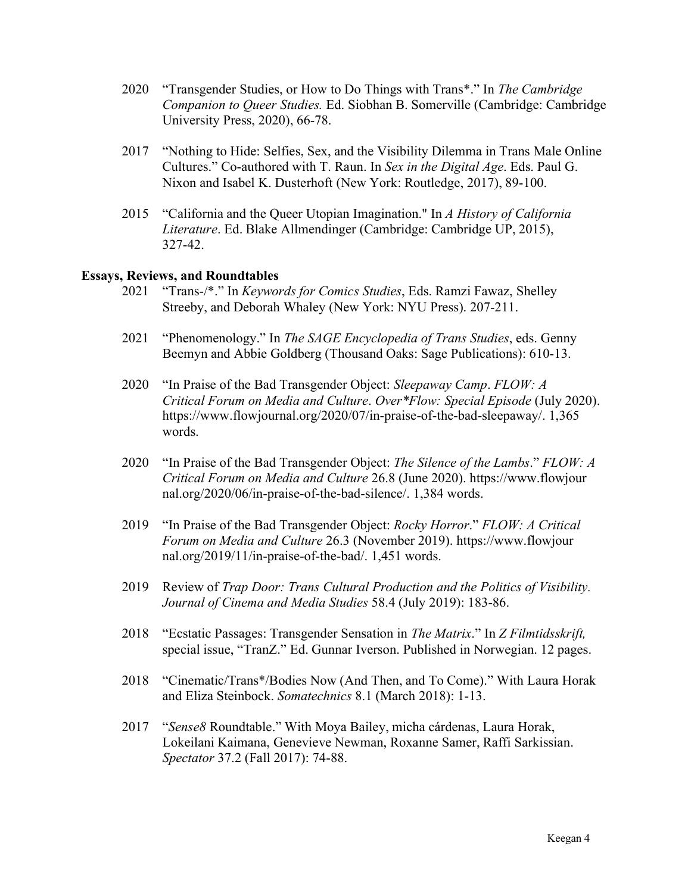- 2020 "Transgender Studies, or How to Do Things with Trans\*." In *The Cambridge Companion to Queer Studies.* Ed. Siobhan B. Somerville (Cambridge: Cambridge University Press, 2020), 66-78.
- 2017 "Nothing to Hide: Selfies, Sex, and the Visibility Dilemma in Trans Male Online Cultures." Co-authored with T. Raun. In *Sex in the Digital Age*. Eds. Paul G. Nixon and Isabel K. Dusterhoft (New York: Routledge, 2017), 89-100.
- 2015 "California and the Queer Utopian Imagination." In *A History of California Literature*. Ed. Blake Allmendinger (Cambridge: Cambridge UP, 2015), 327-42.

## **Essays, Reviews, and Roundtables**

- 2021 "Trans-/\*." In *Keywords for Comics Studies*, Eds. Ramzi Fawaz, Shelley Streeby, and Deborah Whaley (New York: NYU Press). 207-211.
- 2021 "Phenomenology." In *The SAGE Encyclopedia of Trans Studies*, eds. Genny Beemyn and Abbie Goldberg (Thousand Oaks: Sage Publications): 610-13.
- 2020 "In Praise of the Bad Transgender Object: *Sleepaway Camp*. *FLOW: A Critical Forum on Media and Culture*. *Over\*Flow: Special Episode* (July 2020). https://www.flowjournal.org/2020/07/in-praise-of-the-bad-sleepaway/. 1,365 words.
- 2020 "In Praise of the Bad Transgender Object: *The Silence of the Lambs*." *FLOW: A Critical Forum on Media and Culture* 26.8 (June 2020). https://www.flowjour nal.org/2020/06/in-praise-of-the-bad-silence/. 1,384 words.
- 2019 "In Praise of the Bad Transgender Object: *Rocky Horror*." *FLOW: A Critical Forum on Media and Culture* 26.3 (November 2019). https://www.flowjour nal.org/2019/11/in-praise-of-the-bad/. 1,451 words.
- 2019 Review of *Trap Door: Trans Cultural Production and the Politics of Visibility. Journal of Cinema and Media Studies* 58.4 (July 2019): 183-86.
- 2018 "Ecstatic Passages: Transgender Sensation in *The Matrix*." In *Z Filmtidsskrift,* special issue, "TranZ." Ed. Gunnar Iverson. Published in Norwegian. 12 pages.
- 2018 "Cinematic/Trans\*/Bodies Now (And Then, and To Come)." With Laura Horak and Eliza Steinbock. *Somatechnics* 8.1 (March 2018): 1-13.
- 2017 "*Sense8* Roundtable." With Moya Bailey, micha cárdenas, Laura Horak, Lokeilani Kaimana, Genevieve Newman, Roxanne Samer, Raffi Sarkissian. *Spectator* 37.2 (Fall 2017): 74-88.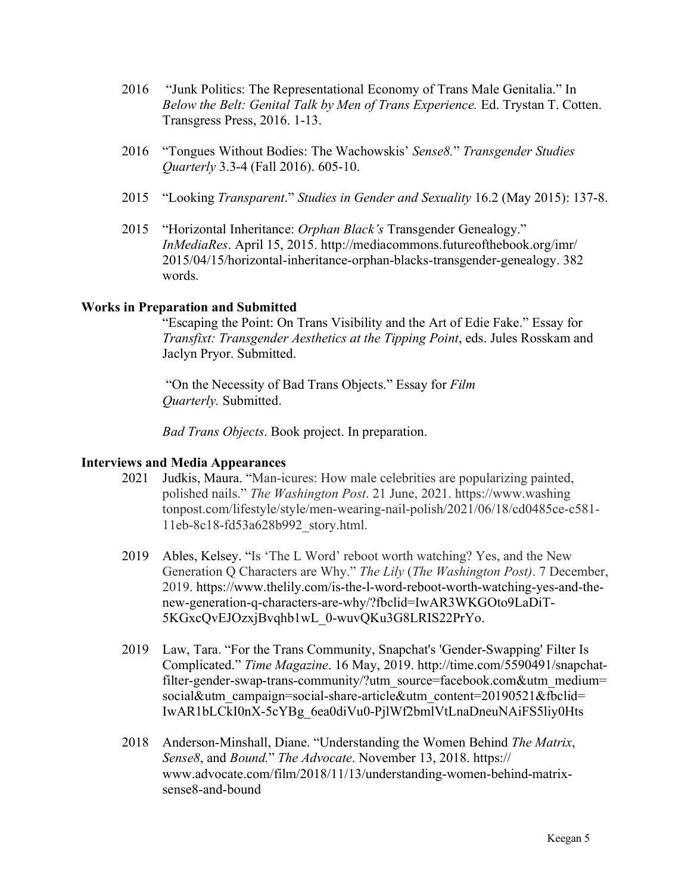- 2016 "Junk Politics: The Representational Economy of Trans Male Genitalia." In *Below the Belt: Genital Talk by Men of Trans Experience.* Ed. Trystan T. Cotten. Transgress Press, 2016. 1-13.
- 2016 "Tongues Without Bodies: The Wachowskis' *Sense8.*" *Transgender Studies Quarterly* 3.3-4 (Fall 2016). 605-10.
- 2015 "Looking *Transparent*." *Studies in Gender and Sexuality* 16.2 (May 2015): 137-8.
- 2015 "Horizontal Inheritance: *Orphan Black's* Transgender Genealogy." *InMediaRes*. April 15, 2015. http://mediacommons.futureofthebook.org/imr/ 2015/04/15/horizontal-inheritance-orphan-blacks-transgender-genealogy. 382 words.

## **Works in Preparation and Submitted**

"Escaping the Point: On Trans Visibility and the Art of Edie Fake." Essay for *Transfixt: Transgender Aesthetics at the Tipping Point*, eds. Jules Rosskam and Jaclyn Pryor. Submitted.

"On the Necessity of Bad Trans Objects." Essay for *Film Quarterly.* Submitted.

*Bad Trans Objects*. Book project. In preparation.

# **Interviews and Media Appearances**

- 2021 Judkis, Maura. "Man-icures: How male celebrities are popularizing painted, polished nails." *The Washington Post*. 21 June, 2021. https://www.washing tonpost.com/lifestyle/style/men-wearing-nail-polish/2021/06/18/cd0485ce-c581- 11eb-8c18-fd53a628b992\_story.html.
- 2019 Ables, Kelsey. "Is 'The L Word' reboot worth watching? Yes, and the New Generation Q Characters are Why." *The Lily* (*The Washington Post)*. 7 December, 2019. https://www.thelily.com/is-the-l-word-reboot-worth-watching-yes-and-thenew-generation-q-characters-are-why/?fbclid=IwAR3WKGOto9LaDiT-5KGxcQvEJOzxjBvqhb1wL\_0-wuvQKu3G8LRIS22PrYo.
- 2019 Law, Tara. "For the Trans Community, Snapchat's 'Gender-Swapping' Filter Is Complicated." *Time Magazine*. 16 May, 2019. http://time.com/5590491/snapchatfilter-gender-swap-trans-community/?utm\_source=facebook.com&utm\_medium= social&utm\_campaign=social-share-article&utm\_content=20190521&fbclid= IwAR1bLCkI0nX-5cYBg\_6ea0diVu0-PjlWf2bmlVtLnaDneuNAiFS5liy0Hts
- 2018 Anderson-Minshall, Diane. "Understanding the Women Behind *The Matrix*, *Sense8*, and *Bound.*" *The Advocate*. November 13, 2018. https:// www.advocate.com/film/2018/11/13/understanding-women-behind-matrixsense8-and-bound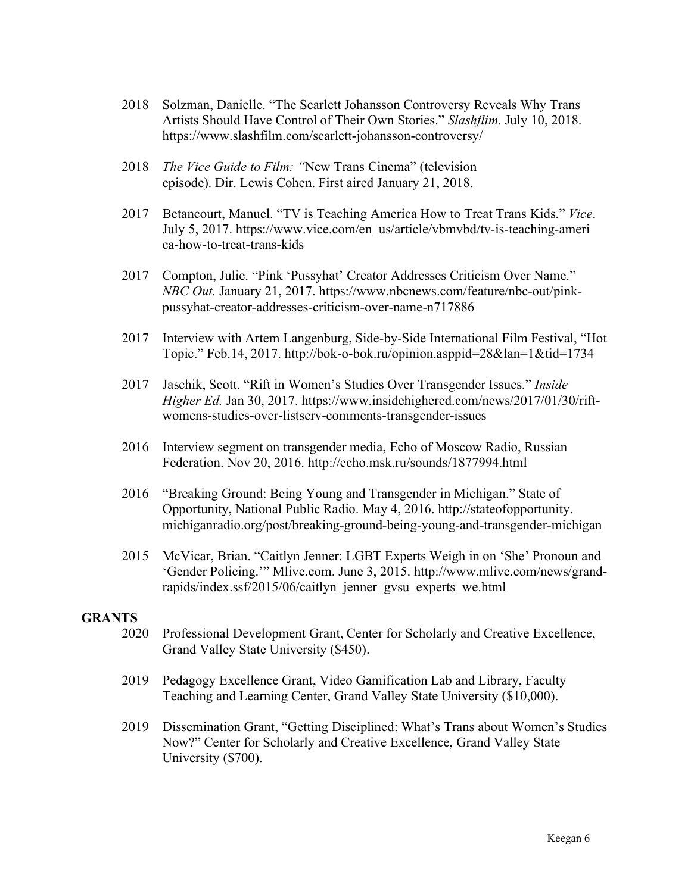- 2018 Solzman, Danielle. "The Scarlett Johansson Controversy Reveals Why Trans Artists Should Have Control of Their Own Stories." *Slashflim.* July 10, 2018. https://www.slashfilm.com/scarlett-johansson-controversy/
- 2018 *The Vice Guide to Film: "*New Trans Cinema" (television episode). Dir. Lewis Cohen. First aired January 21, 2018.
- 2017 Betancourt, Manuel. "TV is Teaching America How to Treat Trans Kids." *Vice*. July 5, 2017. https://www.vice.com/en\_us/article/vbmvbd/tv-is-teaching-ameri ca-how-to-treat-trans-kids
- 2017 Compton, Julie. "Pink 'Pussyhat' Creator Addresses Criticism Over Name." *NBC Out.* January 21, 2017. https://www.nbcnews.com/feature/nbc-out/pinkpussyhat-creator-addresses-criticism-over-name-n717886
- 2017 Interview with Аrtem Langenburg, Side-by-Side International Film Festival, "Hot Topic." Feb.14, 2017. http://bok-o-bok.ru/opinion.asppid=28&lan=1&tid=1734
- 2017 Jaschik, Scott. "Rift in Women's Studies Over Transgender Issues." *Inside Higher Ed.* Jan 30, 2017. https://www.insidehighered.com/news/2017/01/30/riftwomens-studies-over-listserv-comments-transgender-issues
- 2016 Interview segment on transgender media, Echo of Moscow Radio, Russian Federation. Nov 20, 2016. http://echo.msk.ru/sounds/1877994.html
- 2016 "Breaking Ground: Being Young and Transgender in Michigan." State of Opportunity, National Public Radio. May 4, 2016. http://stateofopportunity. michiganradio.org/post/breaking-ground-being-young-and-transgender-michigan
- 2015 McVicar, Brian. "Caitlyn Jenner: LGBT Experts Weigh in on 'She' Pronoun and 'Gender Policing.'" Mlive.com. June 3, 2015. http://www.mlive.com/news/grandrapids/index.ssf/2015/06/caitlyn\_jenner\_gvsu\_experts\_we.html

## **GRANTS**

- 2020 Professional Development Grant, Center for Scholarly and Creative Excellence, Grand Valley State University (\$450).
- 2019 Pedagogy Excellence Grant, Video Gamification Lab and Library, Faculty Teaching and Learning Center, Grand Valley State University (\$10,000).
- 2019 Dissemination Grant, "Getting Disciplined: What's Trans about Women's Studies Now?" Center for Scholarly and Creative Excellence, Grand Valley State University (\$700).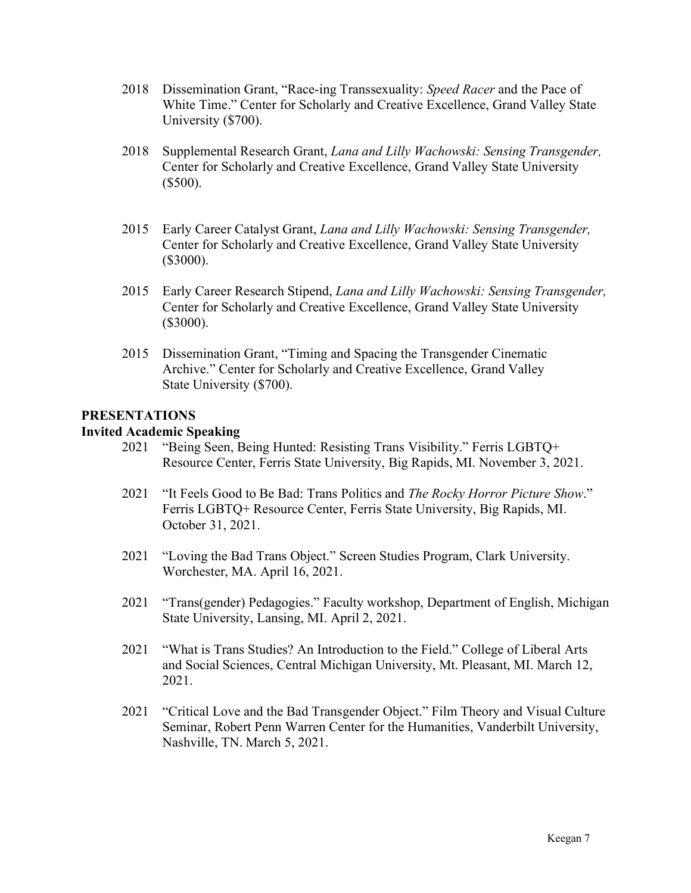- 2018 Dissemination Grant, "Race-ing Transsexuality: *Speed Racer* and the Pace of White Time." Center for Scholarly and Creative Excellence, Grand Valley State University (\$700).
- 2018 Supplemental Research Grant, *Lana and Lilly Wachowski: Sensing Transgender,* Center for Scholarly and Creative Excellence, Grand Valley State University (\$500).
- 2015 Early Career Catalyst Grant, *Lana and Lilly Wachowski: Sensing Transgender,* Center for Scholarly and Creative Excellence, Grand Valley State University (\$3000).
- 2015 Early Career Research Stipend, *Lana and Lilly Wachowski: Sensing Transgender,* Center for Scholarly and Creative Excellence, Grand Valley State University (\$3000).
- 2015 Dissemination Grant, "Timing and Spacing the Transgender Cinematic Archive." Center for Scholarly and Creative Excellence, Grand Valley State University (\$700).

# **PRESENTATIONS**

# **Invited Academic Speaking**

- 2021 "Being Seen, Being Hunted: Resisting Trans Visibility." Ferris LGBTQ+ Resource Center, Ferris State University, Big Rapids, MI. November 3, 2021.
- 2021 "It Feels Good to Be Bad: Trans Politics and *The Rocky Horror Picture Show*." Ferris LGBTQ+ Resource Center, Ferris State University, Big Rapids, MI. October 31, 2021.
- 2021 "Loving the Bad Trans Object." Screen Studies Program, Clark University. Worchester, MA. April 16, 2021.
- 2021 "Trans(gender) Pedagogies." Faculty workshop, Department of English, Michigan State University, Lansing, MI. April 2, 2021.
- 2021 "What is Trans Studies? An Introduction to the Field." College of Liberal Arts and Social Sciences, Central Michigan University, Mt. Pleasant, MI. March 12, 2021.
- 2021 "Critical Love and the Bad Transgender Object." Film Theory and Visual Culture Seminar, Robert Penn Warren Center for the Humanities, Vanderbilt University, Nashville, TN. March 5, 2021.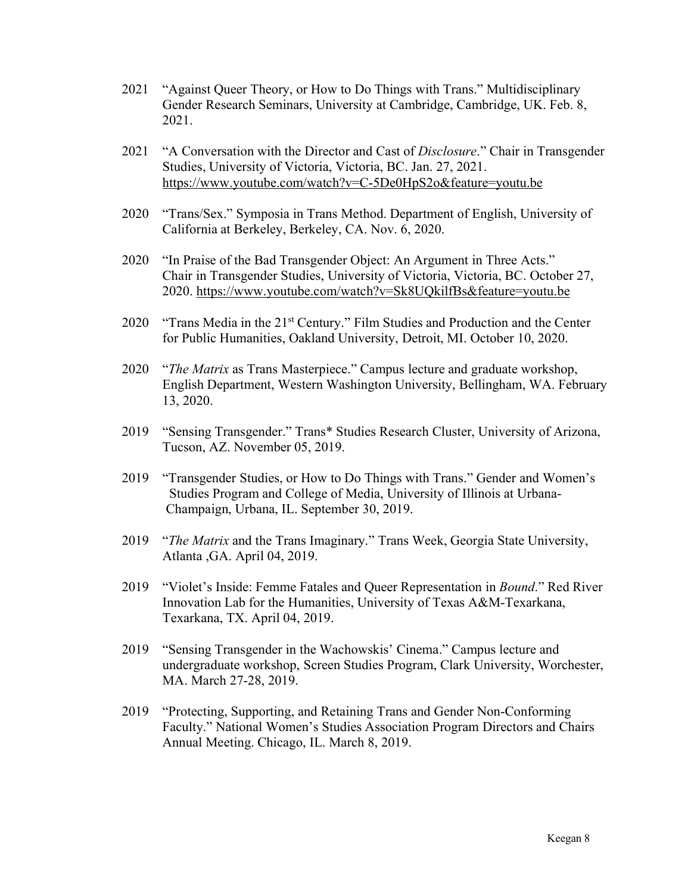- 2021 "Against Queer Theory, or How to Do Things with Trans." Multidisciplinary Gender Research Seminars, University at Cambridge, Cambridge, UK. Feb. 8, 2021.
- 2021 "A Conversation with the Director and Cast of *Disclosure*." Chair in Transgender Studies, University of Victoria, Victoria, BC. Jan. 27, 2021. https://www.youtube.com/watch?v=C-5De0HpS2o&feature=youtu.be
- 2020 "Trans/Sex." Symposia in Trans Method. Department of English, University of California at Berkeley, Berkeley, CA. Nov. 6, 2020.
- 2020 "In Praise of the Bad Transgender Object: An Argument in Three Acts." Chair in Transgender Studies, University of Victoria, Victoria, BC. October 27, 2020. https://www.youtube.com/watch?v=Sk8UQkilfBs&feature=youtu.be
- 2020 "Trans Media in the 21<sup>st</sup> Century." Film Studies and Production and the Center for Public Humanities, Oakland University, Detroit, MI. October 10, 2020.
- 2020 "*The Matrix* as Trans Masterpiece." Campus lecture and graduate workshop, English Department, Western Washington University, Bellingham, WA. February 13, 2020.
- 2019 "Sensing Transgender." Trans\* Studies Research Cluster, University of Arizona, Tucson, AZ. November 05, 2019.
- 2019 "Transgender Studies, or How to Do Things with Trans." Gender and Women's Studies Program and College of Media, University of Illinois at Urbana- Champaign, Urbana, IL. September 30, 2019.
- 2019 "*The Matrix* and the Trans Imaginary." Trans Week, Georgia State University, Atlanta ,GA. April 04, 2019.
- 2019 "Violet's Inside: Femme Fatales and Queer Representation in *Bound*." Red River Innovation Lab for the Humanities, University of Texas A&M-Texarkana, Texarkana, TX. April 04, 2019.
- 2019 "Sensing Transgender in the Wachowskis' Cinema." Campus lecture and undergraduate workshop, Screen Studies Program, Clark University, Worchester, MA. March 27-28, 2019.
- 2019 "Protecting, Supporting, and Retaining Trans and Gender Non-Conforming Faculty." National Women's Studies Association Program Directors and Chairs Annual Meeting. Chicago, IL. March 8, 2019.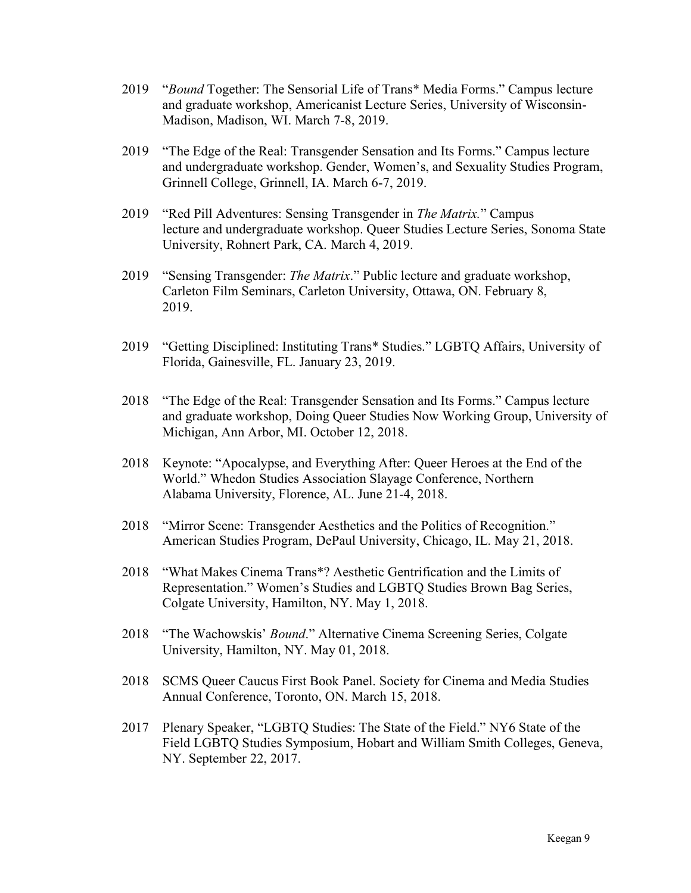- 2019 "*Bound* Together: The Sensorial Life of Trans\* Media Forms." Campus lecture and graduate workshop, Americanist Lecture Series, University of Wisconsin-Madison, Madison, WI. March 7-8, 2019.
- 2019 "The Edge of the Real: Transgender Sensation and Its Forms." Campus lecture and undergraduate workshop. Gender, Women's, and Sexuality Studies Program, Grinnell College, Grinnell, IA. March 6-7, 2019.
- 2019 "Red Pill Adventures: Sensing Transgender in *The Matrix.*" Campus lecture and undergraduate workshop. Queer Studies Lecture Series, Sonoma State University, Rohnert Park, CA. March 4, 2019.
- 2019 "Sensing Transgender: *The Matrix*." Public lecture and graduate workshop, Carleton Film Seminars, Carleton University, Ottawa, ON. February 8, 2019.
- 2019 "Getting Disciplined: Instituting Trans\* Studies." LGBTQ Affairs, University of Florida, Gainesville, FL. January 23, 2019.
- 2018 "The Edge of the Real: Transgender Sensation and Its Forms." Campus lecture and graduate workshop, Doing Queer Studies Now Working Group, University of Michigan, Ann Arbor, MI. October 12, 2018.
- 2018 Keynote: "Apocalypse, and Everything After: Queer Heroes at the End of the World." Whedon Studies Association Slayage Conference, Northern Alabama University, Florence, AL. June 21-4, 2018.
- 2018 "Mirror Scene: Transgender Aesthetics and the Politics of Recognition." American Studies Program, DePaul University, Chicago, IL. May 21, 2018.
- 2018 "What Makes Cinema Trans\*? Aesthetic Gentrification and the Limits of Representation." Women's Studies and LGBTQ Studies Brown Bag Series, Colgate University, Hamilton, NY. May 1, 2018.
- 2018 "The Wachowskis' *Bound*." Alternative Cinema Screening Series, Colgate University, Hamilton, NY. May 01, 2018.
- 2018 SCMS Queer Caucus First Book Panel. Society for Cinema and Media Studies Annual Conference, Toronto, ON. March 15, 2018.
- 2017 Plenary Speaker, "LGBTQ Studies: The State of the Field." NY6 State of the Field LGBTQ Studies Symposium, Hobart and William Smith Colleges, Geneva, NY. September 22, 2017.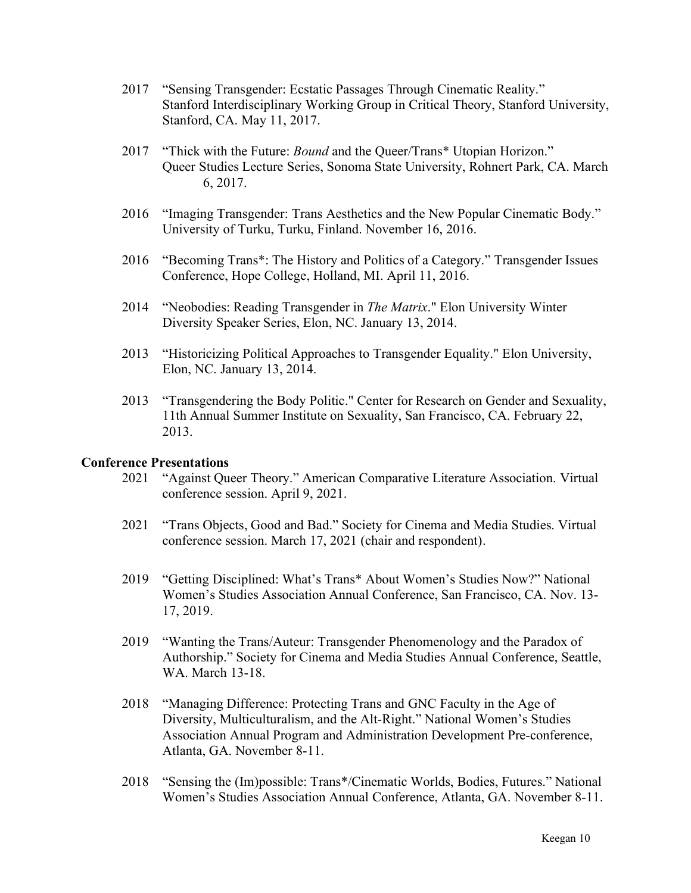- 2017 "Sensing Transgender: Ecstatic Passages Through Cinematic Reality." Stanford Interdisciplinary Working Group in Critical Theory, Stanford University, Stanford, CA. May 11, 2017.
- 2017 "Thick with the Future: *Bound* and the Queer/Trans\* Utopian Horizon." Queer Studies Lecture Series, Sonoma State University, Rohnert Park, CA. March 6, 2017.
- 2016 "Imaging Transgender: Trans Aesthetics and the New Popular Cinematic Body." University of Turku, Turku, Finland. November 16, 2016.
- 2016 "Becoming Trans\*: The History and Politics of a Category." Transgender Issues Conference, Hope College, Holland, MI. April 11, 2016.
- 2014 "Neobodies: Reading Transgender in *The Matrix*." Elon University Winter Diversity Speaker Series, Elon, NC. January 13, 2014.
- 2013 "Historicizing Political Approaches to Transgender Equality." Elon University, Elon, NC. January 13, 2014.
- 2013 "Transgendering the Body Politic." Center for Research on Gender and Sexuality, 11th Annual Summer Institute on Sexuality, San Francisco, CA. February 22, 2013.

# **Conference Presentations**

- 2021 "Against Queer Theory." American Comparative Literature Association. Virtual conference session. April 9, 2021.
- 2021 "Trans Objects, Good and Bad." Society for Cinema and Media Studies. Virtual conference session. March 17, 2021 (chair and respondent).
- 2019 "Getting Disciplined: What's Trans\* About Women's Studies Now?" National Women's Studies Association Annual Conference, San Francisco, CA. Nov. 13- 17, 2019.
- 2019 "Wanting the Trans/Auteur: Transgender Phenomenology and the Paradox of Authorship." Society for Cinema and Media Studies Annual Conference, Seattle, WA. March 13-18.
- 2018 "Managing Difference: Protecting Trans and GNC Faculty in the Age of Diversity, Multiculturalism, and the Alt-Right." National Women's Studies Association Annual Program and Administration Development Pre-conference, Atlanta, GA. November 8-11.
- 2018 "Sensing the (Im)possible: Trans\*/Cinematic Worlds, Bodies, Futures." National Women's Studies Association Annual Conference, Atlanta, GA. November 8-11.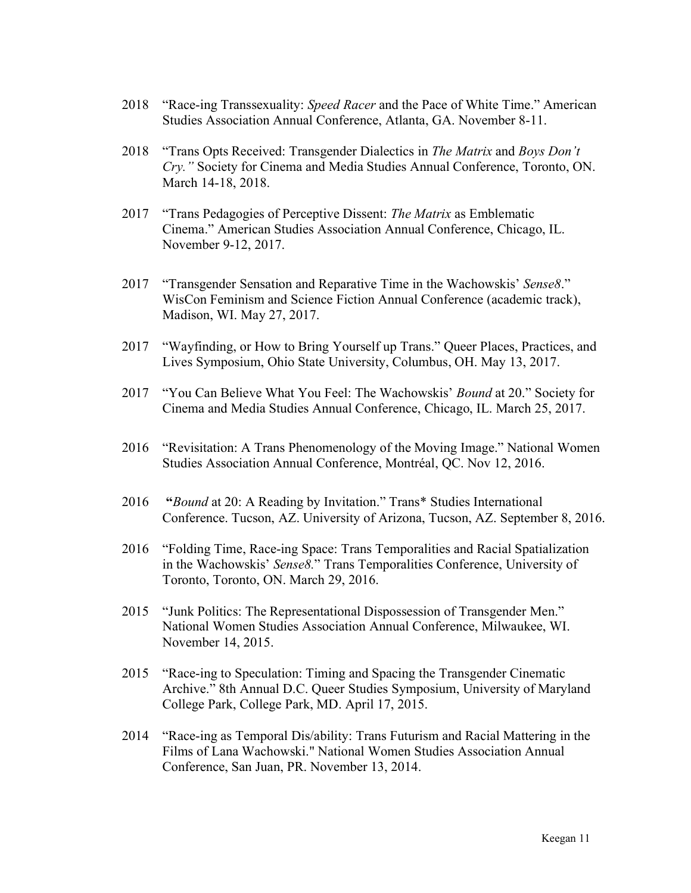- 2018 "Race-ing Transsexuality: *Speed Racer* and the Pace of White Time." American Studies Association Annual Conference, Atlanta, GA. November 8-11.
- 2018 "Trans Opts Received: Transgender Dialectics in *The Matrix* and *Boys Don't Cry."* Society for Cinema and Media Studies Annual Conference, Toronto, ON. March 14-18, 2018.
- 2017 "Trans Pedagogies of Perceptive Dissent: *The Matrix* as Emblematic Cinema." American Studies Association Annual Conference, Chicago, IL. November 9-12, 2017.
- 2017 "Transgender Sensation and Reparative Time in the Wachowskis' *Sense8*." WisCon Feminism and Science Fiction Annual Conference (academic track), Madison, WI. May 27, 2017.
- 2017 "Wayfinding, or How to Bring Yourself up Trans." Queer Places, Practices, and Lives Symposium, Ohio State University, Columbus, OH. May 13, 2017.
- 2017 "You Can Believe What You Feel: The Wachowskis' *Bound* at 20." Society for Cinema and Media Studies Annual Conference, Chicago, IL. March 25, 2017.
- 2016 "Revisitation: A Trans Phenomenology of the Moving Image." National Women Studies Association Annual Conference, Montréal, QC. Nov 12, 2016.
- 2016 **"***Bound* at 20: A Reading by Invitation." Trans\* Studies International Conference. Tucson, AZ. University of Arizona, Tucson, AZ. September 8, 2016.
- 2016 "Folding Time, Race-ing Space: Trans Temporalities and Racial Spatialization in the Wachowskis' *Sense8.*" Trans Temporalities Conference, University of Toronto, Toronto, ON. March 29, 2016.
- 2015 "Junk Politics: The Representational Dispossession of Transgender Men." National Women Studies Association Annual Conference, Milwaukee, WI. November 14, 2015.
- 2015 "Race-ing to Speculation: Timing and Spacing the Transgender Cinematic Archive." 8th Annual D.C. Queer Studies Symposium, University of Maryland College Park, College Park, MD. April 17, 2015.
- 2014 "Race-ing as Temporal Dis/ability: Trans Futurism and Racial Mattering in the Films of Lana Wachowski." National Women Studies Association Annual Conference, San Juan, PR. November 13, 2014.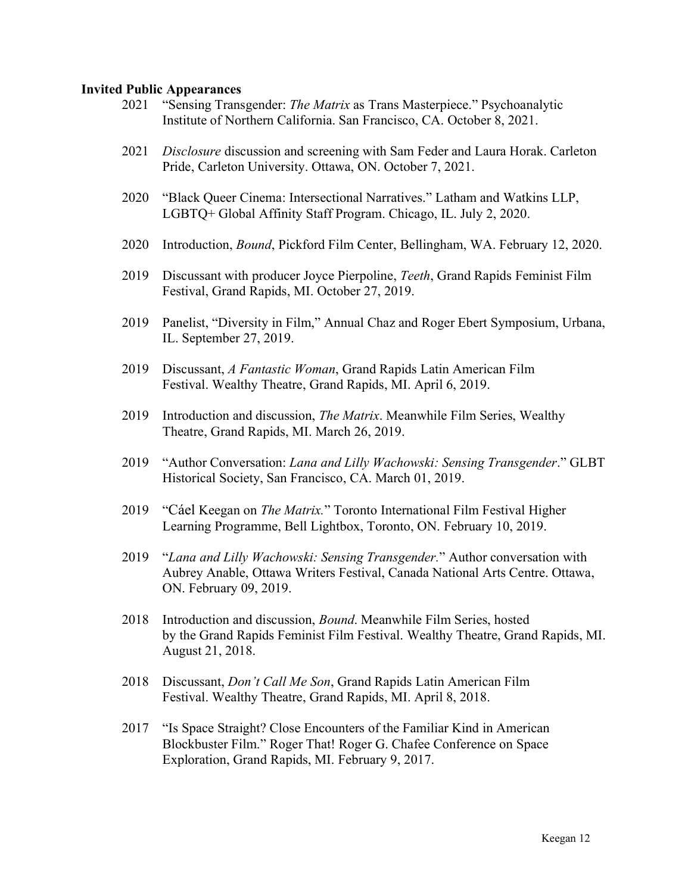## **Invited Public Appearances**

- 2021 "Sensing Transgender: *The Matrix* as Trans Masterpiece." Psychoanalytic Institute of Northern California. San Francisco, CA. October 8, 2021.
- 2021 *Disclosure* discussion and screening with Sam Feder and Laura Horak. Carleton Pride, Carleton University. Ottawa, ON. October 7, 2021.
- 2020 "Black Queer Cinema: Intersectional Narratives." Latham and Watkins LLP, LGBTQ+ Global Affinity Staff Program. Chicago, IL. July 2, 2020.
- 2020 Introduction, *Bound*, Pickford Film Center, Bellingham, WA. February 12, 2020.
- 2019 Discussant with producer Joyce Pierpoline, *Teeth*, Grand Rapids Feminist Film Festival, Grand Rapids, MI. October 27, 2019.
- 2019 Panelist, "Diversity in Film," Annual Chaz and Roger Ebert Symposium, Urbana, IL. September 27, 2019.
- 2019 Discussant, *A Fantastic Woman*, Grand Rapids Latin American Film Festival. Wealthy Theatre, Grand Rapids, MI. April 6, 2019.
- 2019 Introduction and discussion, *The Matrix*. Meanwhile Film Series, Wealthy Theatre, Grand Rapids, MI. March 26, 2019.
- 2019 "Author Conversation: *Lana and Lilly Wachowski: Sensing Transgender*." GLBT Historical Society, San Francisco, CA. March 01, 2019.
- 2019 "Cáel Keegan on *The Matrix.*" Toronto International Film Festival Higher Learning Programme, Bell Lightbox, Toronto, ON. February 10, 2019.
- 2019 "*Lana and Lilly Wachowski: Sensing Transgender.*" Author conversation with Aubrey Anable, Ottawa Writers Festival, Canada National Arts Centre. Ottawa, ON. February 09, 2019.
- 2018 Introduction and discussion, *Bound*. Meanwhile Film Series, hosted by the Grand Rapids Feminist Film Festival. Wealthy Theatre, Grand Rapids, MI. August 21, 2018.
- 2018 Discussant, *Don't Call Me Son*, Grand Rapids Latin American Film Festival. Wealthy Theatre, Grand Rapids, MI. April 8, 2018.
- 2017 "Is Space Straight? Close Encounters of the Familiar Kind in American Blockbuster Film." Roger That! Roger G. Chafee Conference on Space Exploration, Grand Rapids, MI. February 9, 2017.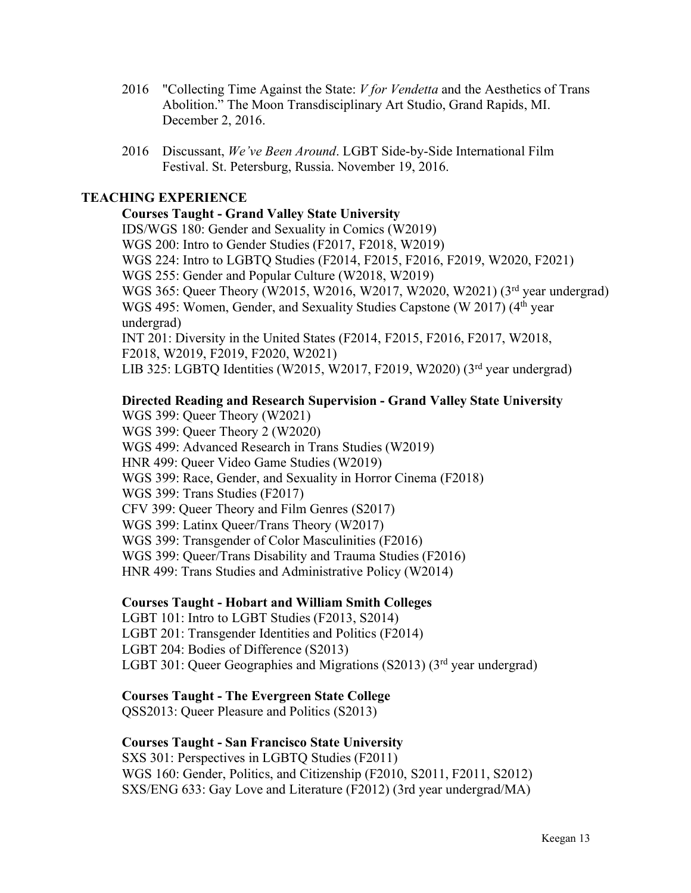- 2016 "Collecting Time Against the State: *V for Vendetta* and the Aesthetics of Trans Abolition." The Moon Transdisciplinary Art Studio, Grand Rapids, MI. December 2, 2016.
- 2016 Discussant, *We've Been Around*. LGBT Side-by-Side International Film Festival. St. Petersburg, Russia. November 19, 2016.

# **TEACHING EXPERIENCE**

# **Courses Taught - Grand Valley State University**

IDS/WGS 180: Gender and Sexuality in Comics (W2019) WGS 200: Intro to Gender Studies (F2017, F2018, W2019) WGS 224: Intro to LGBTQ Studies (F2014, F2015, F2016, F2019, W2020, F2021) WGS 255: Gender and Popular Culture (W2018, W2019) WGS 365: Queer Theory (W2015, W2016, W2017, W2020, W2021) (3rd year undergrad) WGS 495: Women, Gender, and Sexuality Studies Capstone (W 2017) (4<sup>th</sup> year undergrad) INT 201: Diversity in the United States (F2014, F2015, F2016, F2017, W2018, F2018, W2019, F2019, F2020, W2021)

LIB 325: LGBTQ Identities (W2015, W2017, F2019, W2020) (3rd year undergrad)

# **Directed Reading and Research Supervision - Grand Valley State University**

WGS 399: Queer Theory (W2021) WGS 399: Queer Theory 2 (W2020) WGS 499: Advanced Research in Trans Studies (W2019) HNR 499: Queer Video Game Studies (W2019) WGS 399: Race, Gender, and Sexuality in Horror Cinema (F2018) WGS 399: Trans Studies (F2017) CFV 399: Queer Theory and Film Genres (S2017) WGS 399: Latinx Queer/Trans Theory (W2017) WGS 399: Transgender of Color Masculinities (F2016) WGS 399: Queer/Trans Disability and Trauma Studies (F2016) HNR 499: Trans Studies and Administrative Policy (W2014)

# **Courses Taught - Hobart and William Smith Colleges**

LGBT 101: Intro to LGBT Studies (F2013, S2014) LGBT 201: Transgender Identities and Politics (F2014) LGBT 204: Bodies of Difference (S2013) LGBT 301: Queer Geographies and Migrations (S2013) ( $3<sup>rd</sup>$  year undergrad)

# **Courses Taught - The Evergreen State College**

QSS2013: Queer Pleasure and Politics (S2013)

# **Courses Taught - San Francisco State University**

SXS 301: Perspectives in LGBTQ Studies (F2011) WGS 160: Gender, Politics, and Citizenship (F2010, S2011, F2011, S2012) SXS/ENG 633: Gay Love and Literature (F2012) (3rd year undergrad/MA)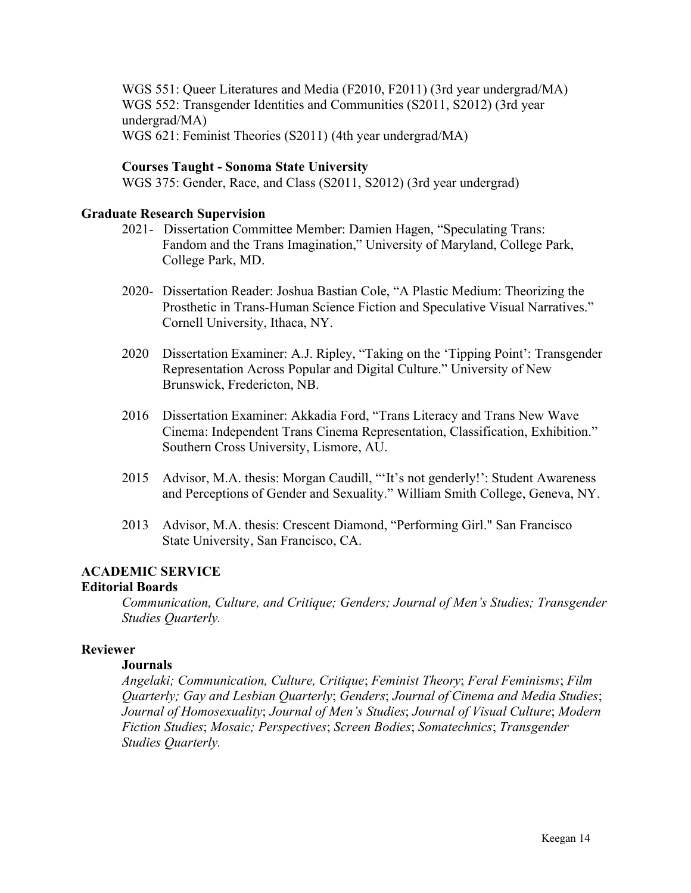WGS 551: Queer Literatures and Media (F2010, F2011) (3rd year undergrad/MA) WGS 552: Transgender Identities and Communities (S2011, S2012) (3rd year undergrad/MA) WGS 621: Feminist Theories (S2011) (4th year undergrad/MA)

# **Courses Taught - Sonoma State University**

WGS 375: Gender, Race, and Class (S2011, S2012) (3rd year undergrad)

# **Graduate Research Supervision**

- 2021- Dissertation Committee Member: Damien Hagen, "Speculating Trans: Fandom and the Trans Imagination," University of Maryland, College Park, College Park, MD.
- 2020- Dissertation Reader: Joshua Bastian Cole, "A Plastic Medium: Theorizing the Prosthetic in Trans-Human Science Fiction and Speculative Visual Narratives." Cornell University, Ithaca, NY.
- 2020 Dissertation Examiner: A.J. Ripley, "Taking on the 'Tipping Point': Transgender Representation Across Popular and Digital Culture." University of New Brunswick, Fredericton, NB.
- 2016 Dissertation Examiner: Akkadia Ford, "Trans Literacy and Trans New Wave Cinema: Independent Trans Cinema Representation, Classification, Exhibition." Southern Cross University, Lismore, AU.
- 2015 Advisor, M.A. thesis: Morgan Caudill, "'It's not genderly!': Student Awareness and Perceptions of Gender and Sexuality." William Smith College, Geneva, NY.
- 2013 Advisor, M.A. thesis: Crescent Diamond, "Performing Girl." San Francisco State University, San Francisco, CA.

# **ACADEMIC SERVICE**

# **Editorial Boards**

*Communication, Culture, and Critique; Genders; Journal of Men's Studies; Transgender Studies Quarterly.*

# **Reviewer**

## **Journals**

*Angelaki; Communication, Culture, Critique*; *Feminist Theory*; *Feral Feminisms*; *Film Quarterly; Gay and Lesbian Quarterly*; *Genders*; *Journal of Cinema and Media Studies*; *Journal of Homosexuality*; *Journal of Men's Studies*; *Journal of Visual Culture*; *Modern Fiction Studies*; *Mosaic; Perspectives*; *Screen Bodies*; *Somatechnics*; *Transgender Studies Quarterly.*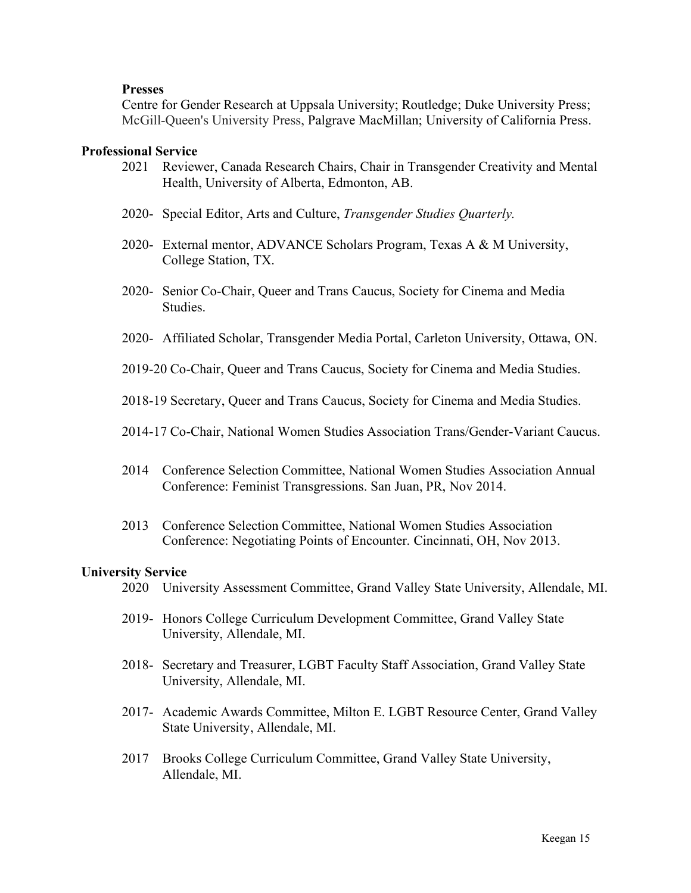## **Presses**

Centre for Gender Research at Uppsala University; Routledge; Duke University Press; McGill-Queen's University Press, Palgrave MacMillan; University of California Press.

#### **Professional Service**

- 2021 Reviewer, Canada Research Chairs, Chair in Transgender Creativity and Mental Health, University of Alberta, Edmonton, AB.
- 2020- Special Editor, Arts and Culture, *Transgender Studies Quarterly.*
- 2020- External mentor, ADVANCE Scholars Program, Texas A & M University, College Station, TX.
- 2020- Senior Co-Chair, Queer and Trans Caucus, Society for Cinema and Media Studies.
- 2020- Affiliated Scholar, Transgender Media Portal, Carleton University, Ottawa, ON.
- 2019-20 Co-Chair, Queer and Trans Caucus, Society for Cinema and Media Studies.
- 2018-19 Secretary, Queer and Trans Caucus, Society for Cinema and Media Studies.
- 2014-17 Co-Chair, National Women Studies Association Trans/Gender-Variant Caucus.
- 2014 Conference Selection Committee, National Women Studies Association Annual Conference: Feminist Transgressions. San Juan, PR, Nov 2014.
- 2013 Conference Selection Committee, National Women Studies Association Conference: Negotiating Points of Encounter. Cincinnati, OH, Nov 2013.

#### **University Service**

- 2020 University Assessment Committee, Grand Valley State University, Allendale, MI.
- 2019- Honors College Curriculum Development Committee, Grand Valley State University, Allendale, MI.
- 2018- Secretary and Treasurer, LGBT Faculty Staff Association, Grand Valley State University, Allendale, MI.
- 2017- Academic Awards Committee, Milton E. LGBT Resource Center, Grand Valley State University, Allendale, MI.
- 2017 Brooks College Curriculum Committee, Grand Valley State University, Allendale, MI.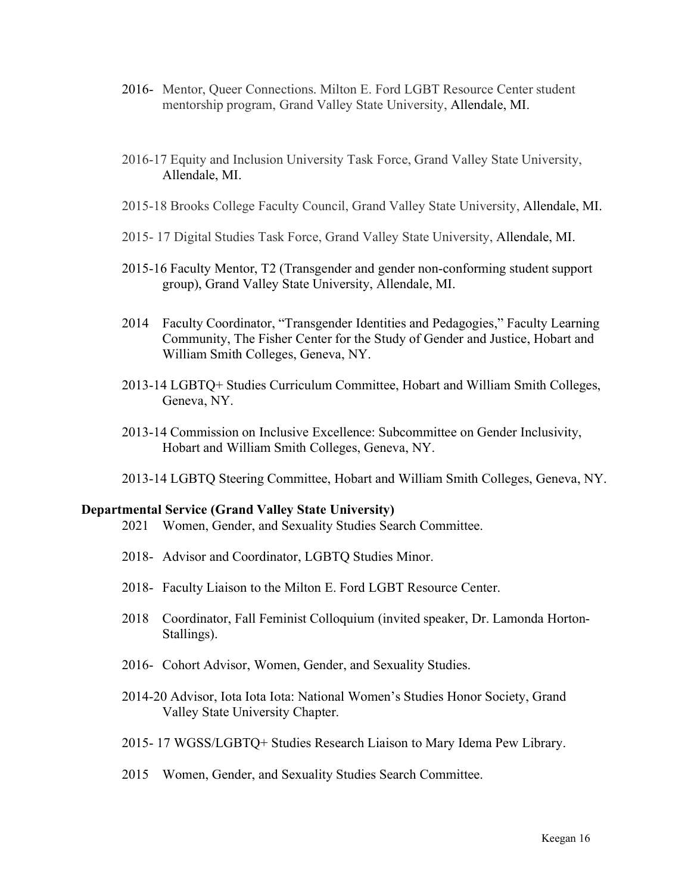- 2016- Mentor, Queer Connections. Milton E. Ford LGBT Resource Center student mentorship program, Grand Valley State University, Allendale, MI.
- 2016-17 Equity and Inclusion University Task Force, Grand Valley State University, Allendale, MI.
- 2015-18 Brooks College Faculty Council, Grand Valley State University, Allendale, MI.
- 2015- 17 Digital Studies Task Force, Grand Valley State University, Allendale, MI.
- 2015-16 Faculty Mentor, T2 (Transgender and gender non-conforming student support group), Grand Valley State University, Allendale, MI.
- 2014 Faculty Coordinator, "Transgender Identities and Pedagogies," Faculty Learning Community, The Fisher Center for the Study of Gender and Justice, Hobart and William Smith Colleges, Geneva, NY.
- 2013-14 LGBTQ+ Studies Curriculum Committee, Hobart and William Smith Colleges, Geneva, NY.
- 2013-14 Commission on Inclusive Excellence: Subcommittee on Gender Inclusivity, Hobart and William Smith Colleges, Geneva, NY.
- 2013-14 LGBTQ Steering Committee, Hobart and William Smith Colleges, Geneva, NY.

#### **Departmental Service (Grand Valley State University)**

- 2021 Women, Gender, and Sexuality Studies Search Committee.
- 2018- Advisor and Coordinator, LGBTQ Studies Minor.
- 2018- Faculty Liaison to the Milton E. Ford LGBT Resource Center.
- 2018 Coordinator, Fall Feminist Colloquium (invited speaker, Dr. Lamonda Horton-Stallings).
- 2016- Cohort Advisor, Women, Gender, and Sexuality Studies.
- 2014-20 Advisor, Iota Iota Iota: National Women's Studies Honor Society, Grand Valley State University Chapter.
- 2015- 17 WGSS/LGBTQ+ Studies Research Liaison to Mary Idema Pew Library.
- 2015 Women, Gender, and Sexuality Studies Search Committee.